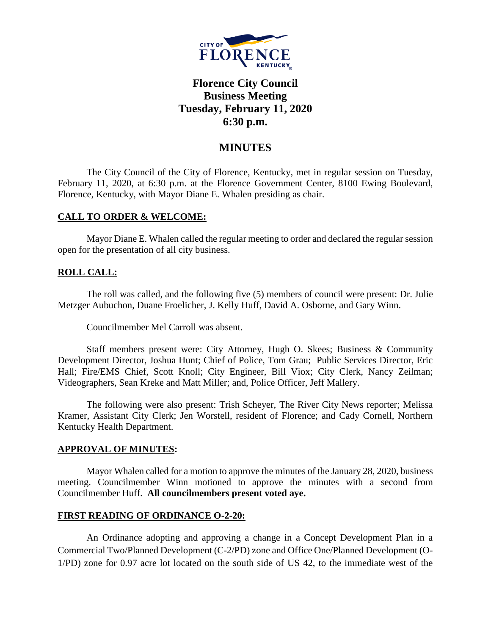

# **Florence City Council Business Meeting Tuesday, February 11, 2020 6:30 p.m.**

## **MINUTES**

The City Council of the City of Florence, Kentucky, met in regular session on Tuesday, February 11, 2020, at 6:30 p.m. at the Florence Government Center, 8100 Ewing Boulevard, Florence, Kentucky, with Mayor Diane E. Whalen presiding as chair.

#### **CALL TO ORDER & WELCOME:**

Mayor Diane E. Whalen called the regular meeting to order and declared the regular session open for the presentation of all city business.

#### **ROLL CALL:**

The roll was called, and the following five (5) members of council were present: Dr. Julie Metzger Aubuchon, Duane Froelicher, J. Kelly Huff, David A. Osborne, and Gary Winn.

Councilmember Mel Carroll was absent.

Staff members present were: City Attorney, Hugh O. Skees; Business & Community Development Director, Joshua Hunt; Chief of Police, Tom Grau; Public Services Director, Eric Hall; Fire/EMS Chief, Scott Knoll; City Engineer, Bill Viox; City Clerk, Nancy Zeilman; Videographers, Sean Kreke and Matt Miller; and, Police Officer, Jeff Mallery.

The following were also present: Trish Scheyer, The River City News reporter; Melissa Kramer, Assistant City Clerk; Jen Worstell, resident of Florence; and Cady Cornell, Northern Kentucky Health Department.

#### **APPROVAL OF MINUTES:**

Mayor Whalen called for a motion to approve the minutes of the January 28, 2020, business meeting. Councilmember Winn motioned to approve the minutes with a second from Councilmember Huff. **All councilmembers present voted aye.**

#### **FIRST READING OF ORDINANCE O-2-20:**

An Ordinance adopting and approving a change in a Concept Development Plan in a Commercial Two/Planned Development (C-2/PD) zone and Office One/Planned Development (O-1/PD) zone for 0.97 acre lot located on the south side of US 42, to the immediate west of the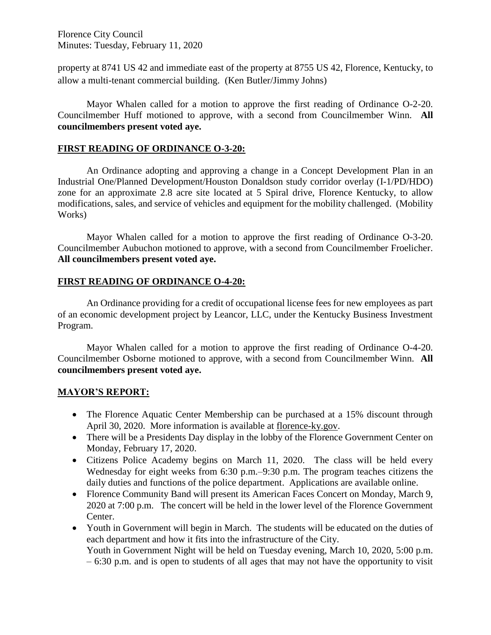Florence City Council Minutes: Tuesday, February 11, 2020

property at 8741 US 42 and immediate east of the property at 8755 US 42, Florence, Kentucky, to allow a multi-tenant commercial building. (Ken Butler/Jimmy Johns)

Mayor Whalen called for a motion to approve the first reading of Ordinance O-2-20. Councilmember Huff motioned to approve, with a second from Councilmember Winn. **All councilmembers present voted aye.** 

#### **FIRST READING OF ORDINANCE O-3-20:**

An Ordinance adopting and approving a change in a Concept Development Plan in an Industrial One/Planned Development/Houston Donaldson study corridor overlay (I-1/PD/HDO) zone for an approximate 2.8 acre site located at 5 Spiral drive, Florence Kentucky, to allow modifications, sales, and service of vehicles and equipment for the mobility challenged. (Mobility Works)

Mayor Whalen called for a motion to approve the first reading of Ordinance O-3-20. Councilmember Aubuchon motioned to approve, with a second from Councilmember Froelicher. **All councilmembers present voted aye.** 

#### **FIRST READING OF ORDINANCE O-4-20:**

An Ordinance providing for a credit of occupational license fees for new employees as part of an economic development project by Leancor, LLC, under the Kentucky Business Investment Program.

Mayor Whalen called for a motion to approve the first reading of Ordinance O-4-20. Councilmember Osborne motioned to approve, with a second from Councilmember Winn. **All councilmembers present voted aye.** 

### **MAYOR'S REPORT:**

- The Florence Aquatic Center Membership can be purchased at a 15% discount through April 30, 2020. More information is available at [florence-ky.gov.](http://www.florence-ky.gov/)
- There will be a Presidents Day display in the lobby of the Florence Government Center on Monday, February 17, 2020.
- Citizens Police Academy begins on March 11, 2020. The class will be held every Wednesday for eight weeks from 6:30 p.m.–9:30 p.m. The program teaches citizens the daily duties and functions of the police department. Applications are available online.
- Florence Community Band will present its American Faces Concert on Monday, March 9, 2020 at 7:00 p.m. The concert will be held in the lower level of the Florence Government Center.
- Youth in Government will begin in March. The students will be educated on the duties of each department and how it fits into the infrastructure of the City. Youth in Government Night will be held on Tuesday evening, March 10, 2020, 5:00 p.m.

– 6:30 p.m. and is open to students of all ages that may not have the opportunity to visit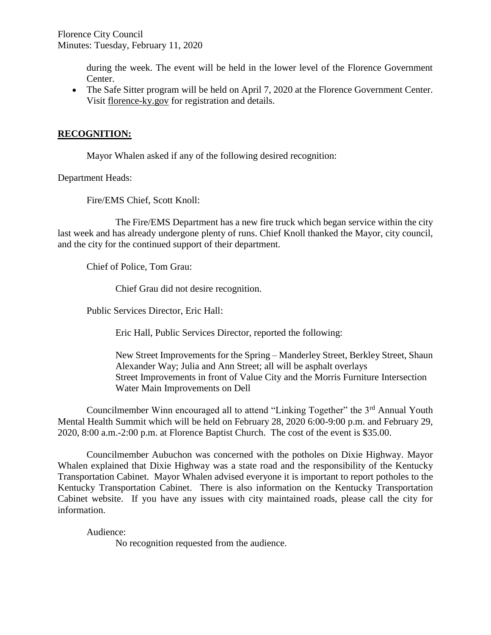during the week. The event will be held in the lower level of the Florence Government Center.

• The Safe Sitter program will be held on April 7, 2020 at the Florence Government Center. Visit florence-ky.gov for registration and details.

### **RECOGNITION:**

Mayor Whalen asked if any of the following desired recognition:

Department Heads:

Fire/EMS Chief, Scott Knoll:

The Fire/EMS Department has a new fire truck which began service within the city last week and has already undergone plenty of runs. Chief Knoll thanked the Mayor, city council, and the city for the continued support of their department.

Chief of Police, Tom Grau:

Chief Grau did not desire recognition.

Public Services Director, Eric Hall:

Eric Hall, Public Services Director, reported the following:

New Street Improvements for the Spring – Manderley Street, Berkley Street, Shaun Alexander Way; Julia and Ann Street; all will be asphalt overlays Street Improvements in front of Value City and the Morris Furniture Intersection Water Main Improvements on Dell

Councilmember Winn encouraged all to attend "Linking Together" the 3<sup>rd</sup> Annual Youth Mental Health Summit which will be held on February 28, 2020 6:00-9:00 p.m. and February 29, 2020, 8:00 a.m.-2:00 p.m. at Florence Baptist Church. The cost of the event is \$35.00.

Councilmember Aubuchon was concerned with the potholes on Dixie Highway. Mayor Whalen explained that Dixie Highway was a state road and the responsibility of the Kentucky Transportation Cabinet. Mayor Whalen advised everyone it is important to report potholes to the Kentucky Transportation Cabinet. There is also information on the Kentucky Transportation Cabinet website. If you have any issues with city maintained roads, please call the city for information.

Audience:

No recognition requested from the audience.